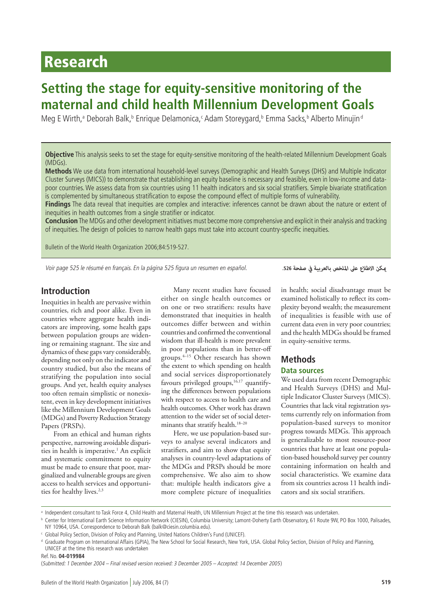# Research

# **Setting the stage for equity-sensitive monitoring of the maternal and child health Millennium Development Goals**

Meg E Wirth,ª Deborah Balk,ʰ Enrique Delamonica,ˤ Adam Storeygard,ʰ Emma Sacks,ʰ Alberto Minujin<sup>d</sup>

**Objective** This analysis seeks to set the stage for equity-sensitive monitoring of the health-related Millennium Development Goals (MDGs).

**Methods** We use data from international household-level surveys (Demographic and Health Surveys (DHS) and Multiple Indicator Cluster Surveys (MICS)) to demonstrate that establishing an equity baseline is necessary and feasible, even in low-income and datapoor countries. We assess data from six countries using 11 health indicators and six social stratifiers. Simple bivariate stratification is complemented by simultaneous stratification to expose the compound effect of multiple forms of vulnerability.

**Findings** The data reveal that inequities are complex and interactive: inferences cannot be drawn about the nature or extent of inequities in health outcomes from a single stratifier or indicator.

**Conclusion** The MDGs and other development initiatives must become more comprehensive and explicit in their analysis and tracking of inequities. The design of policies to narrow health gaps must take into account country-specific inequities.

Bulletin of the World Health Organization 2006;84:519-527.

Voir page 525 le résumé en français. En la página 525 figura un resumen en español.

*ميكن االطالع عىل امللخص بالعربية يف صفحة* **.526**

# **Introduction**

Inequities in health are pervasive within countries, rich and poor alike. Even in countries where aggregate health indicators are improving, some health gaps between population groups are widening or remaining stagnant. The size and dynamics of these gaps vary considerably, depending not only on the indicator and country studied, but also the means of stratifying the population into social groups. And yet, health equity analyses too often remain simplistic or nonexistent, even in key development initiatives like the Millennium Development Goals (MDGs) and Poverty Reduction Strategy Papers (PRSPs).

From an ethical and human rights perspective, narrowing avoidable disparities in health is imperative.<sup>1</sup> An explicit and systematic commitment to equity must be made to ensure that poor, marginalized and vulnerable groups are given access to health services and opportunities for healthy lives.<sup>2,3</sup>

Many recent studies have focused either on single health outcomes or on one or two stratifiers: results have demonstrated that inequities in health outcomes differ between and within countries and confirmed the conventional wisdom that ill-health is more prevalent in poor populations than in better-off groups.4–15 Other research has shown the extent to which spending on health and social services disproportionately favours privileged groups,<sup>16,17</sup> quantifying the differences between populations with respect to access to health care and health outcomes. Other work has drawn attention to the wider set of social determinants that stratify health.18–20

Here, we use population-based surveys to analyse several indicators and stratifiers, and aim to show that equity analyses in country-level adaptations of the MDGs and PRSPs should be more comprehensive. We also aim to show that: multiple health indicators give a more complete picture of inequalities

in health; social disadvantage must be examined holistically to reflect its complexity beyond wealth; the measurement of inequalities is feasible with use of current data even in very poor countries; and the health MDGs should be framed in equity-sensitive terms.

### **Methods**

#### **Data sources**

We used data from recent Demographic and Health Surveys (DHS) and Multiple Indicator Cluster Surveys (MICS). Countries that lack vital registration systems currently rely on information from population-based surveys to monitor progress towards MDGs. This approach is generalizable to most resource-poor countries that have at least one population-based household survey per country containing information on health and social characteristics. We examine data from six countries across 11 health indicators and six social stratifiers.

a Independent consultant to Task Force 4, Child Health and Maternal Health, UN Millennium Project at the time this research was undertaken.

**b** Center for International Earth Science Information Network (CIESIN), Columbia University; Lamont-Doherty Earth Observatory, 61 Route 9W, PO Box 1000, Palisades, NY 10964, USA. Correspondence to Deborah Balk (balk@ciesin.columbia.edu).

<sup>c</sup> Global Policy Section, Division of Policy and Planning, United Nations Children's Fund (UNICEF).

<sup>d</sup> Graduate Program on International Affairs (GPIA), The New School for Social Research, New York, USA. Global Policy Section, Division of Policy and Planning, UNICEF at the time this research was undertaken

Ref. No. **04-019984**

<sup>(</sup>Submitted: 1 December 2004 – Final revised version received: 3 December 2005 – Accepted: 14 December 2005)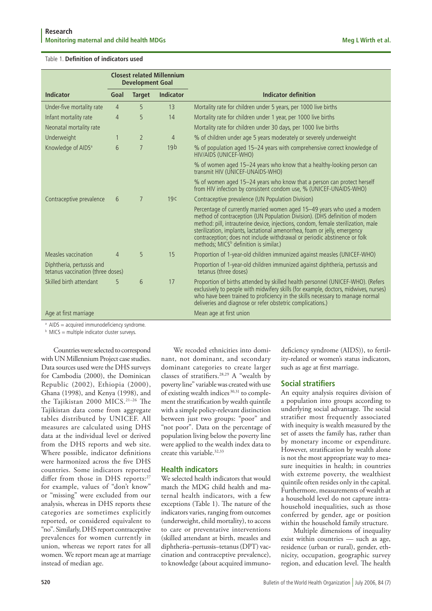|                                                                | <b>Closest related Millennium</b><br><b>Development Goal</b> |                |                                                                                                        |                                                                                                                                                                                                                                                                                                                                                                                                                                                              |
|----------------------------------------------------------------|--------------------------------------------------------------|----------------|--------------------------------------------------------------------------------------------------------|--------------------------------------------------------------------------------------------------------------------------------------------------------------------------------------------------------------------------------------------------------------------------------------------------------------------------------------------------------------------------------------------------------------------------------------------------------------|
| <b>Indicator</b>                                               | Goal                                                         | <b>Target</b>  | <b>Indicator</b>                                                                                       | <b>Indicator definition</b>                                                                                                                                                                                                                                                                                                                                                                                                                                  |
| Under-five mortality rate                                      | 4                                                            | 5              | 13                                                                                                     | Mortality rate for children under 5 years, per 1000 live births                                                                                                                                                                                                                                                                                                                                                                                              |
| Infant mortality rate                                          | 4                                                            | 5              | 14                                                                                                     | Mortality rate for children under 1 year, per 1000 live births                                                                                                                                                                                                                                                                                                                                                                                               |
| Neonatal mortality rate                                        |                                                              |                |                                                                                                        | Mortality rate for children under 30 days, per 1000 live births                                                                                                                                                                                                                                                                                                                                                                                              |
| Underweight                                                    | 1                                                            | $\overline{2}$ | 4                                                                                                      | % of children under age 5 years moderately or severely underweight                                                                                                                                                                                                                                                                                                                                                                                           |
| Knowledge of AIDS <sup>a</sup>                                 | 6                                                            | 7              | 19 <sub>b</sub>                                                                                        | % of population aged 15-24 years with comprehensive correct knowledge of<br>HIV/AIDS (UNICEF-WHO)                                                                                                                                                                                                                                                                                                                                                            |
|                                                                |                                                              |                |                                                                                                        | % of women aged 15-24 years who know that a healthy-looking person can<br>transmit HIV (UNICEF-UNAIDS-WHO)                                                                                                                                                                                                                                                                                                                                                   |
|                                                                |                                                              |                |                                                                                                        | % of women aged 15-24 years who know that a person can protect herself<br>from HIV infection by consistent condom use, % (UNICEF-UNAIDS-WHO)                                                                                                                                                                                                                                                                                                                 |
| Contraceptive prevalence                                       | 6                                                            | $\overline{7}$ | 19 <sub>C</sub>                                                                                        | Contraceptive prevalence (UN Population Division)                                                                                                                                                                                                                                                                                                                                                                                                            |
|                                                                |                                                              |                |                                                                                                        | Percentage of currently married women aged 15-49 years who used a modern<br>method of contraception (UN Population Division). (DHS definition of modern<br>method: pill, intrauterine device, injections, condom, female sterilization, male<br>sterilization, implants, lactational amenorrhea, foam or jelly, emergency<br>contraception; does not include withdrawal or periodic abstinence or folk<br>methods; MICS <sup>b</sup> definition is similar.) |
| Measles vaccination                                            | $\overline{4}$                                               | 5              | 15                                                                                                     | Proportion of 1-year-old children immunized against measles (UNICEF-WHO)                                                                                                                                                                                                                                                                                                                                                                                     |
| Diphtheria, pertussis and<br>tetanus vaccination (three doses) |                                                              |                | Proportion of 1-year-old children immunized against diphtheria, pertussis and<br>tetanus (three doses) |                                                                                                                                                                                                                                                                                                                                                                                                                                                              |
| Skilled birth attendant                                        | 5                                                            | 6              | 17                                                                                                     | Proportion of births attended by skilled health personnel (UNICEF-WHO). (Refers<br>exclusively to people with midwifery skills (for example, doctors, midwives, nurses)<br>who have been trained to proficiency in the skills necessary to manage normal<br>deliveries and diagnose or refer obstetric complications.)                                                                                                                                       |
| Age at first marriage<br>Mean age at first union               |                                                              |                |                                                                                                        |                                                                                                                                                                                                                                                                                                                                                                                                                                                              |

<sup>a</sup> AIDS = acquired immunodeficiency syndrome.

 $b$  MICS = multiple indicator cluster surveys.

Countries were selected to correspond with UN Millennium Project case studies. Data sources used were the DHS surveys for Cambodia (2000), the Dominican Republic (2002), Ethiopia (2000), Ghana (1998), and Kenya (1998), and the Tajikistan 2000 MICS.21–26 The Tajikistan data come from aggregate tables distributed by UNICEF. All measures are calculated using DHS data at the individual level or derived from the DHS reports and web site. Where possible, indicator definitions were harmonized across the five DHS countries. Some indicators reported differ from those in DHS reports:<sup>27</sup> for example, values of "don't know" or "missing" were excluded from our analysis, whereas in DHS reports these categories are sometimes explicitly reported, or considered equivalent to "no". Similarly, DHS report contraceptive prevalences for women currently in union, whereas we report rates for all women. We report mean age at marriage instead of median age.

We recoded ethnicities into dominant, not dominant, and secondary dominant categories to create larger classes of stratifiers.28,29 A "wealth by poverty line" variable was created with use of existing wealth indices<sup>30,31</sup> to complement the stratification by wealth quintile with a simple policy-relevant distinction between just two groups: "poor" and "not poor". Data on the percentage of population living below the poverty line were applied to the wealth index data to create this variable.32,33

### **Health indicators**

We selected health indicators that would match the MDG child health and maternal health indicators, with a few exceptions (Table 1). The nature of the indicators varies, ranging from outcomes (underweight, child mortality), to access to care or preventative interventions (skilled attendant at birth, measles and diphtheria-pertussis-tetanus (DPT) vaccination and contraceptive prevalence), to knowledge (about acquired immunodeficiency syndrome (AIDS)), to fertility-related or women's status indicators, such as age at first marriage.

# **Social stratifiers**

An equity analysis requires division of a population into groups according to underlying social advantage. The social stratifier most frequently associated with inequity is wealth measured by the set of assets the family has, rather than by monetary income or expenditure. However, stratification by wealth alone is not the most appropriate way to measure inequities in health; in countries with extreme poverty, the wealthiest quintile often resides only in the capital. Furthermore, measurements of wealth at a household level do not capture intrahousehold inequalities, such as those conferred by gender, age or position within the household family structure.

Multiple dimensions of inequality exist within countries — such as age, residence (urban or rural), gender, ethnicity, occupation, geographic survey region, and education level. The health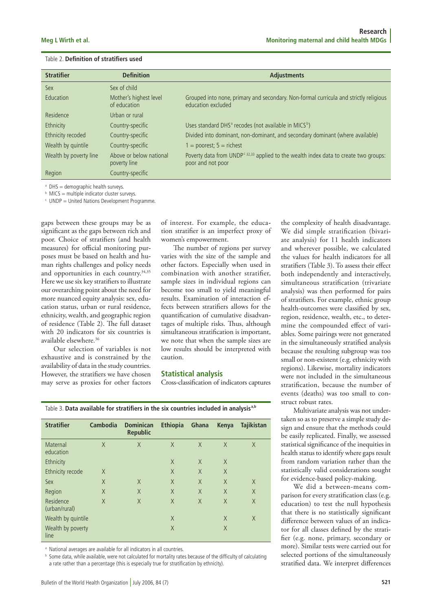| <b>Stratifier</b>      | <b>Definition</b>                       | <b>Adjustments</b>                                                                                                    |  |  |  |
|------------------------|-----------------------------------------|-----------------------------------------------------------------------------------------------------------------------|--|--|--|
| Sex                    | Sex of child                            |                                                                                                                       |  |  |  |
| Education              | Mother's highest level<br>of education  | Grouped into none, primary and secondary. Non-formal curricula and strictly religious<br>education excluded           |  |  |  |
| Residence              | Urban or rural                          |                                                                                                                       |  |  |  |
| Ethnicity              | Country-specific                        | Uses standard DHS <sup>ª</sup> recodes (not available in MICS <sup>b</sup> )                                          |  |  |  |
| Ethnicity recoded      | Country-specific                        | Divided into dominant, non-dominant, and secondary dominant (where available)                                         |  |  |  |
| Wealth by quintile     | Country-specific                        | $1 =$ poorest; $5 =$ richest                                                                                          |  |  |  |
| Wealth by poverty line | Above or below national<br>poverty line | Poverty data from UNDP <sup>c 32,33</sup> applied to the wealth index data to create two groups:<br>poor and not poor |  |  |  |
| Region                 | Country-specific                        |                                                                                                                       |  |  |  |

 $a$  DHS = demographic health surveys.

 $<sup>b</sup>$  MICS = multiple indicator cluster surveys.</sup>

<sup>c</sup> UNDP = United Nations Development Programme.

gaps between these groups may be as significant as the gaps between rich and poor. Choice of stratifiers (and health measures) for official monitoring purposes must be based on health and human rights challenges and policy needs and opportunities in each country.<sup>34,35</sup> Here we use six key stratifiers to illustrate our overarching point about the need for more nuanced equity analysis: sex, education status, urban or rural residence, ethnicity, wealth, and geographic region of residence (Table 2). The full dataset with 20 indicators for six countries is available elsewhere.36

Our selection of variables is not exhaustive and is constrained by the availability of data in the study countries. However, the stratifiers we have chosen may serve as proxies for other factors of interest. For example, the education stratifier is an imperfect proxy of women's empowerment.

The number of regions per survey varies with the size of the sample and other factors. Especially when used in combination with another stratifier, sample sizes in individual regions can become too small to yield meaningful results. Examination of interaction effects between stratifiers allows for the quantification of cumulative disadvantages of multiple risks. Thus, although simultaneous stratification is important, we note that when the sample sizes are low results should be interpreted with caution.

#### **Statistical analysis**

Cross-classification of indicators captures

**Stratifier Cambodia Dominican Ethiopia Ghana Kenya Tajikistan Republic** Maternal X X X X X X education Ethnicity X X X Ethnicity recode X X X X X Sex X X X X X X Region X X X X X X Residence X X X X X X (urban/rural) Wealth by quintile X X X X X

Table 3. **Data available for stratifiers in the six countries included in analysisa,b**

a National averages are available for all indicators in all countries.

Wealth by poverty and the state of the state  $X$  and  $X$ 

**b** Some data, while available, were not calculated for mortality rates because of the difficulty of calculating a rate rather than a percentage (this is especially true for stratification by ethnicity).

line

the complexity of health disadvantage. We did simple stratification (bivariate analysis) for 11 health indicators and wherever possible, we calculated the values for health indicators for all stratifiers (Table 3). To assess their effect both independently and interactively, simultaneous stratification (trivariate analysis) was then performed for pairs of stratifiers. For example, ethnic group health-outcomes were classified by sex, region, residence, wealth, etc., to determine the compounded effect of variables. Some pairings were not generated in the simultaneously stratified analysis because the resulting subgroup was too small or non-existent (e.g. ethnicity with regions). Likewise, mortality indicators were not included in the simultaneous stratification, because the number of events (deaths) was too small to construct robust rates.

Multivariate analysis was not undertaken so as to preserve a simple study design and ensure that the methods could be easily replicated. Finally, we assessed statistical significance of the inequities in health status to identify where gaps result from random variation rather than the statistically valid considerations sought for evidence-based policy-making.

We did a between-means comparison for every stratification class (e.g. education) to test the null hypothesis that there is no statistically significant difference between values of an indicator for all classes defined by the stratifier (e.g. none, primary, secondary or more). Similar tests were carried out for selected portions of the simultaneously stratified data. We interpret differences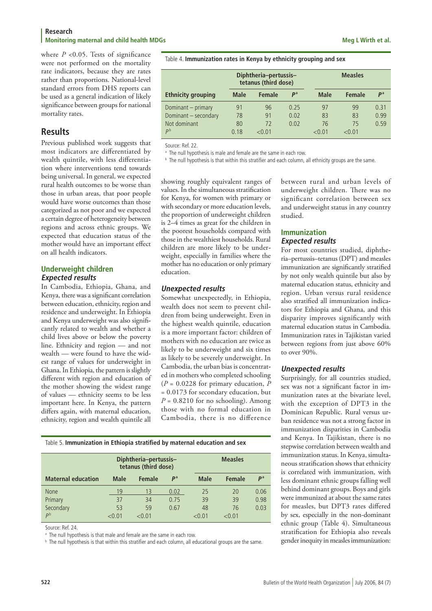where  $P \le 0.05$ . Tests of significance were not performed on the mortality rate indicators, because they are rates rather than proportions. National-level standard errors from DHS reports can be used as a general indication of likely significance between groups for national mortality rates.

# **Results**

Previous published work suggests that most indicators are differentiated by wealth quintile, with less differentiation where interventions tend towards being universal. In general, we expected rural health outcomes to be worse than those in urban areas, that poor people would have worse outcomes than those categorized as not poor and we expected a certain degree of heterogeneity between regions and across ethnic groups. We expected that education status of the mother would have an important effect on all health indicators.

## **Underweight children Expected results**

In Cambodia, Ethiopia, Ghana, and Kenya, there was a significant correlation between education, ethnicity, region and residence and underweight. In Ethiopia and Kenya underweight was also significantly related to wealth and whether a child lives above or below the poverty line. Ethnicity and region — and not wealth — were found to have the widest range of values for underweight in Ghana. In Ethiopia, the pattern is slightly different with region and education of the mother showing the widest range of values — ethnicity seems to be less important here. In Kenya, the pattern differs again, with maternal education, ethnicity, region and wealth quintile all

showing roughly equivalent ranges of values. In the simultaneous stratification for Kenya, for women with primary or with secondary or more education levels, the proportion of underweight children is 2–4 times as great for the children in the poorest households compared with those in the wealthiest households. Rural children are more likely to be underweight, especially in families where the mother has no education or only primary education.

## **Unexpected results**

Somewhat unexpectedly, in Ethiopia, wealth does not seem to prevent children from being underweight. Even in the highest wealth quintile, education is a more important factor: children of mothers with no education are twice as likely to be underweight and six times as likely to be severely underweight. In Cambodia, the urban bias is concentrated in mothers who completed schooling (*P* = 0.0228 for primary education, *P* = 0.0173 for secondary education, but  $P = 0.8210$  for no schooling). Among those with no formal education in Cambodia, there is no difference

Table 5. **Immunization in Ethiopia stratified by maternal education and sex**

|                           |             | Diphtheria-pertussis-<br>tetanus (third dose) |             |             | <b>Measles</b> |                |  |
|---------------------------|-------------|-----------------------------------------------|-------------|-------------|----------------|----------------|--|
| <b>Maternal education</b> | <b>Male</b> | <b>Female</b>                                 | $P^{\rm a}$ | <b>Male</b> | <b>Female</b>  | P <sup>a</sup> |  |
| <b>None</b>               | 19          | 13                                            | 0.02        | 25          | 20             | 0.06           |  |
| Primary                   | 37          | 34                                            | 0.75        | 39          | 39             | 0.98           |  |
| Secondary                 | 53          | 59                                            | 0.67        | 48          | 76             | 0.03           |  |
| рb                        | 1∩ ∩ے       | 1∩ ∩ے                                         |             | <በ በ1       | $<$ 0.01       |                |  |

Source: Ref. 24.

<sup>a</sup> The null hypothesis is that male and female are the same in each row.

<sup>b</sup> The null hypothesis is that within this stratifier and each column, all educational groups are the same.

Table 4. **Immunization rates in Kenya by ethnicity grouping and sex**

|                           |             | Diphtheria-pertussis-<br>tetanus (third dose) |                |               | <b>Measles</b> |                |  |
|---------------------------|-------------|-----------------------------------------------|----------------|---------------|----------------|----------------|--|
| <b>Ethnicity grouping</b> | <b>Male</b> | <b>Female</b>                                 | P <sup>a</sup> | Male          | <b>Female</b>  | P <sup>a</sup> |  |
| Dominant – primary        | 91          | 96                                            | 0.25           | 97            | 99             | 0.31           |  |
| Dominant - secondary      | 78          | 91                                            | 0.02           | 83            | 83             | 0.99           |  |
| Not dominant              | 80          | 72                                            | 0.02           | 76            | 75             | 0.59           |  |
| P <sup>b</sup>            | 0.18        | $<$ 0.01                                      |                | $<$ 0.01 $\,$ | < 0.01         |                |  |

Source: Ref. 22.

<sup>a</sup> The null hypothesis is male and female are the same in each row.

<sup>b</sup> The null hypothesis is that within this stratifier and each column, all ethnicity groups are the same.

between rural and urban levels of underweight children. There was no significant correlation between sex and underweight status in any country studied. **Immunization Expected results**

For most countries studied, diphtheria–pertussis–tetanus (DPT) and measles immunization are significantly stratified by not only wealth quintile but also by maternal education status, ethnicity and region. Urban versus rural residence also stratified all immunization indicators for Ethiopia and Ghana, and this disparity improves significantly with maternal education status in Cambodia. Immunization rates in Tajikistan varied between regions from just above 60% to over 90%.

# **Unexpected results**

Surprisingly, for all countries studied, sex was not a significant factor in immunization rates at the bivariate level, with the exception of DPT3 in the Dominican Republic. Rural versus urban residence was not a strong factor in immunization disparities in Cambodia and Kenya. In Tajikistan, there is no stepwise correlation between wealth and immunization status. In Kenya, simultaneous stratification shows that ethnicity is correlated with immunization, with less dominant ethnic groups falling well behind dominant groups. Boys and girls were immunized at about the same rates for measles, but DPT3 rates differed by sex, especially in the non-dominant ethnic group (Table 4). Simultaneous stratification for Ethiopia also reveals gender inequity in measles immunization: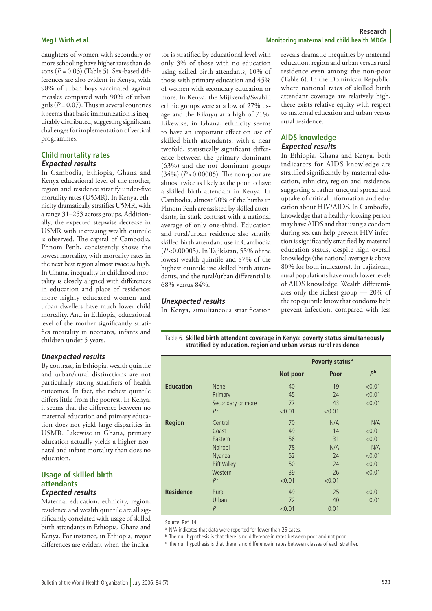daughters of women with secondary or more schooling have higher rates than do sons  $(P = 0.03)$  (Table 5). Sex-based differences are also evident in Kenya, with 98% of urban boys vaccinated against measles compared with 90% of urban girls  $(P = 0.07)$ . Thus in several countries it seems that basic immunization is inequitably distributed, suggesting significant challenges for implementation of vertical programmes.

### **Child mortality rates Expected results**

In Cambodia, Ethiopia, Ghana and Kenya educational level of the mother, region and residence stratify under-five mortality rates (U5MR). In Kenya, ethnicity dramatically stratifies U5MR, with a range 31-253 across groups. Additionally, the expected stepwise decrease in U5MR with increasing wealth quintile is observed. The capital of Cambodia, Phnom Penh, consistently shows the lowest mortality, with mortality rates in the next best region almost twice as high. In Ghana, inequality in childhood mortality is closely aligned with differences in education and place of residence: more highly educated women and urban dwellers have much lower child mortality. And in Ethiopia, educational level of the mother significantly stratifies mortality in neonates, infants and children under 5 years.

#### **Unexpected results**

By contrast, in Ethiopia, wealth quintile and urban/rural distinctions are not particularly strong stratifiers of health outcomes. In fact, the richest quintile differs little from the poorest. In Kenya, it seems that the difference between no maternal education and primary education does not yield large disparities in U5MR. Likewise in Ghana, primary education actually yields a higher neonatal and infant mortality than does no education.

#### **Usage of skilled birth attendants Expected results**

Maternal education, ethnicity, region, residence and wealth quintile are all significantly correlated with usage of skilled birth attendants in Ethiopia, Ghana and Kenya. For instance, in Ethiopia, major differences are evident when the indicator is stratified by educational level with only 3% of those with no education using skilled birth attendants, 10% of those with primary education and 45% of women with secondary education or more. In Kenya, the Mijikenda/Swahili ethnic groups were at a low of 27% usage and the Kikuyu at a high of 71%. Likewise, in Ghana, ethnicity seems to have an important effect on use of skilled birth attendants, with a near twofold, statistically significant difference between the primary dominant (63%) and the not dominant groups (34%) (*P* <0.00005). The non-poor are almost twice as likely as the poor to have

a skilled birth attendant in Kenya. In Cambodia, almost 90% of the births in Phnom Penh are assisted by skilled attendants, in stark contrast with a national average of only one-third. Education and rural/urban residence also stratify skilled birth attendant use in Cambodia (*P* <0.00005). In Tajikistan, 55% of the lowest wealth quintile and 87% of the highest quintile use skilled birth attendants, and the rural/urban differential is

#### **Unexpected results**

68% versus 84%.

In Kenya, simultaneous stratification

#### **Research Meg L Wirth et al. Monitoring maternal and child health MDGs**

reveals dramatic inequities by maternal education, region and urban versus rural residence even among the non-poor (Table 6). In the Dominican Republic, where national rates of skilled birth attendant coverage are relatively high, there exists relative equity with respect to maternal education and urban versus rural residence.

### **AIDS knowledge Expected results**

In Ethiopia, Ghana and Kenya, both indicators for AIDS knowledge are stratified significantly by maternal education, ethnicity, region and residence, suggesting a rather unequal spread and uptake of critical information and education about HIV/AIDS. In Cambodia, knowledge that a healthy-looking person may have AIDS and that using a condom during sex can help prevent HIV infection is significantly stratified by maternal education status, despite high overall knowledge (the national average is above 80% for both indicators). In Tajikistan, rural populations have much lower levels of AIDS knowledge. Wealth differentiates only the richest group — 20% of the top quintile know that condoms help prevent infection, compared with less

Table 6. **Skilled birth attendant coverage in Kenya: poverty status simultaneously stratified by education, region and urban versus rural residence**

|                  |                    |          | Poverty status <sup>a</sup> |                |
|------------------|--------------------|----------|-----------------------------|----------------|
|                  |                    | Not poor | Poor                        | P <sup>b</sup> |
| <b>Education</b> | <b>None</b>        | 40       | 19                          | < 0.01         |
|                  | Primary            | 45       | 24                          | < 0.01         |
|                  | Secondary or more  | 77       | 43                          | < 0.01         |
|                  | P <sup>c</sup>     | < 0.01   | < 0.01                      |                |
| <b>Region</b>    | Central            | 70       | N/A                         | N/A            |
|                  | Coast              | 49       | 14                          | < 0.01         |
|                  | Eastern            | 56       | 31                          | < 0.01         |
|                  | Nairobi            | 78       | N/A                         | N/A            |
|                  | Nyanza             | 52       | 24                          | < 0.01         |
|                  | <b>Rift Valley</b> | 50       | 24                          | < 0.01         |
|                  | Western            | 39       | 26                          | < 0.01         |
|                  | P <sup>c</sup>     | < 0.01   | < 0.01                      |                |
| <b>Residence</b> | Rural              | 49       | 25                          | < 0.01         |
|                  | Urban              | 72       | 40                          | 0.01           |
|                  | P <sup>c</sup>     | < 0.01   | 0.01                        |                |

Source: Ref. 14

a N/A indicates that data were reported for fewer than 25 cases.

**b** The null hypothesis is that there is no difference in rates between poor and not poor.

<sup>c</sup> The null hypothesis is that there is no difference in rates between classes of each stratifier.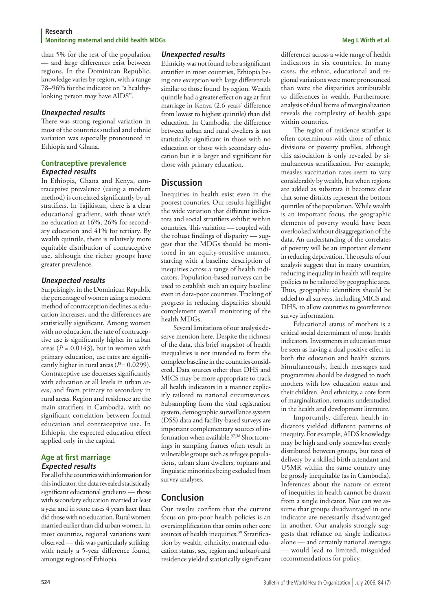than 5% for the rest of the population — and large differences exist between regions. In the Dominican Republic, knowledge varies by region, with a range 78–96% for the indicator on "a healthylooking person may have AIDS".

#### **Unexpected results**

There was strong regional variation in most of the countries studied and ethnic variation was especially pronounced in Ethiopia and Ghana.

#### **Contraceptive prevalence Expected results**

In Ethiopia, Ghana and Kenya, contraceptive prevalence (using a modern method) is correlated significantly by all stratifiers. In Tajikistan, there is a clear educational gradient, with those with no education at 16%, 26% for secondary education and 41% for tertiary. By wealth quintile, there is relatively more equitable distribution of contraceptive use, although the richer groups have greater prevalence.

#### **Unexpected results**

Surprisingly, in the Dominican Republic the percentage of women using a modern method of contraception declines as education increases, and the differences are statistically significant. Among women with no education, the rate of contraceptive use is significantly higher in urban areas  $(P = 0.0143)$ , but in women with primary education, use rates are significantly higher in rural areas  $(P = 0.0299)$ . Contraceptive use decreases significantly with education at all levels in urban areas, and from primary to secondary in rural areas. Region and residence are the main stratifiers in Cambodia, with no significant correlation between formal education and contraceptive use. In Ethiopia, the expected education effect applied only in the capital.

### **Age at first marriage Expected results**

For all of the countries with information for this indicator, the data revealed statistically significant educational gradients — those with secondary education married at least a year and in some cases 4 years later than did those with no education. Rural women married earlier than did urban women. In most countries, regional variations were observed — this was particularly striking, with nearly a 5-year difference found, amongst regions of Ethiopia.

#### **Unexpected results**

Ethnicity was not found to be a significant stratifier in most countries, Ethiopia being one exception with large differentials similar to those found by region. Wealth quintile had a greater effect on age at first marriage in Kenya (2.6 years' difference from lowest to highest quintile) than did education. In Cambodia, the difference between urban and rural dwellers is not statistically significant in those with no education or those with secondary education but it is larger and significant for those with primary education.

# **Discussion**

Inequities in health exist even in the poorest countries. Our results highlight the wide variation that different indicators and social stratifiers exhibit within countries. This variation — coupled with the robust findings of disparity  $-$  suggest that the MDGs should be monitored in an equity-sensitive manner, starting with a baseline description of inequities across a range of health indicators. Population-based surveys can be used to establish such an equity baseline even in data-poor countries. Tracking of progress in reducing disparities should complement overall monitoring of the health MDGs.

Several limitations of our analysis deserve mention here. Despite the richness of the data, this brief snapshot of health inequalities is not intended to form the complete baseline in the countries conside ered. Data sources other than DHS and MICS may be more appropriate to track all health indicators in a manner explicitly tailored to national circumstances. Subsampling from the vital registration system, demographic surveillance system (DSS) data and facility-based surveys are important complementary sources of information when available.<sup>37,38</sup> Shortcomings in sampling frames often result in vulnerable groups such as refugee populations, urban slum dwellers, orphans and linguistic minorities being excluded from survey analyses.

# **Conclusion**

Our results confirm that the current focus on pro-poor health policies is an oversimplification that omits other core sources of health inequities.<sup>39</sup> Stratification by wealth, ethnicity, maternal education status, sex, region and urban/rural residence yielded statistically significant differences across a wide range of health indicators in six countries. In many cases, the ethnic, educational and regional variations were more pronounced than were the disparities attributable to differences in wealth. Furthermore, analysis of dual forms of marginalization reveals the complexity of health gaps within countries.

The region of residence stratifier is often coterminous with those of ethnic divisions or poverty profiles, although this association is only revealed by simultaneous stratification. For example, measles vaccination rates seem to vary considerably by wealth, but when regions are added as substrata it becomes clear that some districts represent the bottom quintiles of the population. While wealth is an important focus, the geographic elements of poverty would have been overlooked without disaggregation of the data. An understanding of the correlates of poverty will be an important element in reducing deprivation. The results of our analysis suggest that in many countries, reducing inequality in health will require policies to be tailored by geographic area. Thus, geographic identifiers should be added to all surveys, including MICS and DHS, to allow countries to georeference survey information.

Educational status of mothers is a critical social determinant of most health indicators. Investments in education must be seen as having a dual positive effect in both the education and health sectors. Simultaneously, health messages and programmes should be designed to reach mothers with low education status and their children. And ethnicity, a core form of marginalization, remains understudied in the health and development literature.

Importantly, different health indicators yielded different patterns of inequity. For example, AIDS knowledge may be high and only somewhat evenly distributed between groups, but rates of delivery by a skilled birth attendant and U5MR within the same country may be grossly inequitable (as in Cambodia). Inferences about the nature or extent of inequities in health cannot be drawn from a single indicator. Nor can we assume that groups disadvantaged in one indicator are necessarily disadvantaged in another. Our analysis strongly suggests that reliance on single indicators alone — and certainly national averages — would lead to limited, misguided recommendations for policy.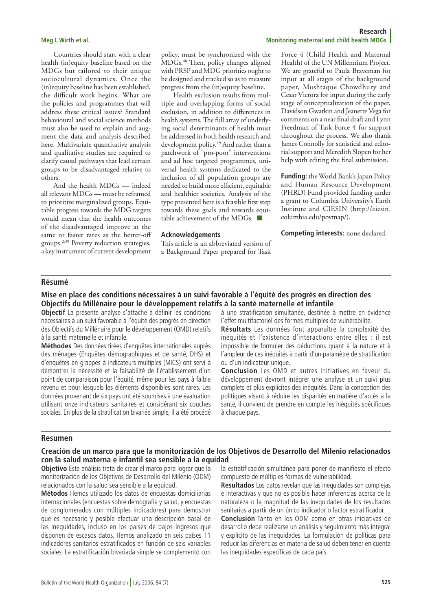Countries should start with a clear health (in)equity baseline based on the MDGs but tailored to their unique sociocultural dynamics. Once the (in)equity baseline has been established, the difficult work begins. What are the policies and programmes that will address these critical issues? Standard behavioural and social science methods must also be used to explain and augment the data and analysis described here. Multivariate quantitative analysis and qualitative studies are required to clarify causal pathways that lead certain groups to be disadvantaged relative to others.

And the health MDGs — indeed all relevant MDGs — must be reframed to prioritize marginalized groups. Equitable progress towards the MDG targets would mean that the health outcomes of the disadvantaged improve at the same or faster rates as the better-off groups.2,39 Poverty reduction strategies, a key instrument of current development policy, must be synchronized with the MDGs.40 Then, policy changes aligned with PRSP and MDG priorities ought to be designed and tracked so as to measure progress from the (in)equity baseline.

Health exclusion results from multiple and overlapping forms of social exclusion, in addition to differences in health systems. The full array of underlying social determinants of health must be addressed in both health research and development policy.19 And rather than a patchwork of "pro-poor" interventions and ad hoc targeted programmes, universal health systems dedicated to the inclusion of all population groups are needed to build more efficient, equitable and healthier societies. Analysis of the type presented here is a feasible first step towards these goals and towards equitable achievement of the MDGs.  $\blacksquare$ 

#### **Acknowledgements**

This article is an abbreviated version of a Background Paper prepared for Task

#### **Research Meg L Wirth et al. Monitoring maternal and child health MDGs**

Force 4 (Child Health and Maternal Health) of the UN Millennium Project. We are grateful to Paula Braveman for input at all stages of the background paper, Mushtaque Chowdhury and Cesar Victora for input during the early stage of conceptualization of the paper, Davidson Gwatkin and Jeanette Vega for comments on a near final draft and Lynn Freedman of Task Force 4 for support throughout the process. We also thank James Connolly for statistical and editorial support and Meredith Slopen for her help with editing the final submission.

**Funding:** the World Bank's Japan Policy and Human Resource Development (PHRD) Fund provided funding under a grant to Columbia University's Earth Institute and CIESIN (http://ciesin. columbia.edu/povmap/).

**Competing interests:** none declared.

#### **Résumé**

#### **Mise en place des conditions nécessaires à un suivi favorable à l'équité des progrès en direction des Objectifs du Millénaire pour le développement relatifs à la santé maternelle et infantile**

**Objectif** La présente analyse s'attache à définir les conditions nécessaires à un suivi favorable à l'équité des progrès en direction des Objectifs du Millénaire pour le développement (OMD) relatifs à la santé maternelle et infantile.

**Méthodes** Des données tirées d'enquêtes internationales auprès des ménages (Enquêtes démographiques et de santé, DHS) et d'enquêtes en grappes à indicateurs multiples (MICS) ont servi à démontrer la nécessité et la faisabilité de l'établissement d'un point de comparaison pour l'équité, même pour les pays à faible revenu et pour lesquels les éléments disponibles sont rares. Les données provenant de six pays ont été soumises à une évaluation utilisant onze indicateurs sanitaires et considérant six couches sociales. En plus de la stratification bivariée simple, il a été procédé

à une stratification simultanée, destinée à mettre en évidence l'effet multifactoriel des formes multiples de vulnérabilité.

**Résultats** Les données font apparaître la complexité des inéquités et l'existence d'interactions entre elles : il est impossible de formuler des déductions quant à la nature et à l'ampleur de ces inéquités à partir d'un paramètre de stratification ou d'un indicateur unique.

**Conclusion** Les OMD et autres initiatives en faveur du développement devront intégrer une analyse et un suivi plus complets et plus explicites des inéquités. Dans la conception des politiques visant à réduire les disparités en matière d'accès à la santé, il convient de prendre en compte les inéquités spécifiques à chaque pays.

#### **Resumen**

### **Creación de un marco para que la monitorización de los Objetivos de Desarrollo del Milenio relacionados con la salud materna e infantil sea sensible a la equidad**

**Objetivo** Este análisis trata de crear el marco para lograr que la monitorización de los Objetivos de Desarrollo del Milenio (ODM) relacionados con la salud sea sensible a la equidad.

**Métodos** Hemos utilizado los datos de encuestas domiciliarias internacionales (encuestas sobre demografía y salud, y encuestas de conglomerados con múltiples indicadores) para demostrar que es necesario y posible efectuar una descripción basal de las inequidades, incluso en los países de bajos ingresos que disponen de escasos datos. Hemos analizado en seis países 11 indicadores sanitarios estratificados en función de seis variables sociales. La estratificación bivariada simple se complementó con

la estratificación simultánea para poner de manifiesto el efecto compuesto de múltiples formas de vulnerabilidad.

**Resultados** Los datos revelan que las inequidades son complejas e interactivas y que no es posible hacer inferencias acerca de la naturaleza o la magnitud de las inequidades de los resultados sanitarios a partir de un único indicador o factor estratificador.

**Conclusión** Tanto en los ODM como en otras iniciativas de desarrollo debe realizarse un análisis y seguimiento más integral y explícito de las inequidades. La formulación de políticas para reducir las diferencias en materia de salud deben tener en cuenta las inequidades específicas de cada país.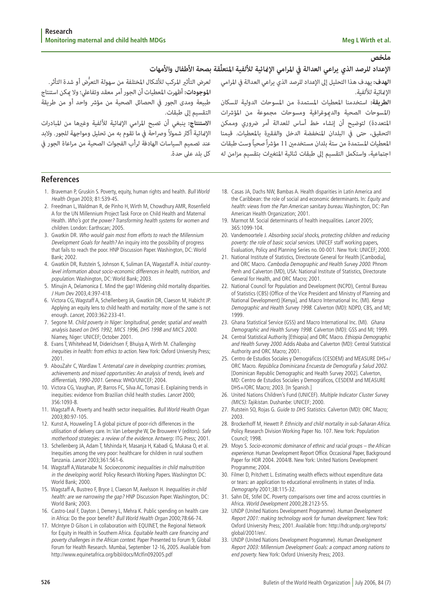لعرض التأثير المركب للأشكال المختلفة من سهولة التعرُّض أو شدة التأثر.<br>ا**لموجودات:** أظهرت المعطيات أن الجور أمر معقد وتفاعلي؛ ولا عكن استنتاج<br>طبيعة ومدى الجور في الحصائل الصحية من مؤشر واحد أو من طريقة<br>التقسيم إلى طبقات.<br>ا

**ملخص**<br>الإعداد للرصد الذي يراعي العدالة في المرامي الإمائية للألفية المتعلِّقة بصحة الأطفال والأمهات<br>الهدف: يهدف هذا التحليل إلى الإعداد للرصد الذي يراعي العدالة في المرامي للعرض التأثير المركب للأشكا<br>الإمائية للألفية.<br>ال

#### **References**

- 1. Braveman P, Gruskin S. Poverty, equity, human rights and health. Bull World Health Organ 2003; 81:539-45.
- 2. Freedman L, Waldman R, de Pinho H, Wirth M, Chowdhury AMR, Rosenfield A for the UN Millennium Project Task Force on Child Health and Maternal Health. Who's got the power? Transforming health systems for women and children. London: Earthscan; 2005.
- 3. Gwatkin DR. Who would gain most from efforts to reach the Millennium Development Goals for health? An inquiry into the possibility of progress that fails to reach the poor. HNP Discussion Paper. Washington, DC: World Bank; 2002.
- 4. Gwatkin DR, Rutstein S, Johnson K, Suliman EA, Wagastaff A. Initial countrylevel information about socio-economic differences in health, nutrition, and population. Washington, DC: World Bank; 2003.
- 5. Minujin A, Delamonica E. Mind the gap! Widening child mortality disparities. J Hum Dev 2003,4:397-418.
- 6. Victora CG, Wagstaff A, Schellenberg JA, Gwatkin DR, Claeson M, Habicht JP. Applying an equity lens to child health and mortality: more of the same is not enough. Lancet, 2003:362:233-41.
- 7. Segone M. Child poverty in Niger: longitudinal, gender, spatial and wealth analysis based on DHS 1992, MICS 1996, DHS 1998 and MICS 2000. Niamey, Niger: UNICEF; October 2001.
- 8. Evans T, Whitehead M, Diderichsen F, Bhuiya A, Wirth M. Challenging inequities in health: from ethics to action. New York: Oxford University Press; 2001.
- 9. AbouZahr C, Wardlaw T. Antenatal care in developing countries: promises, achievements and missed opportunities: An analysis of trends, levels and differentials, 1990-2001. Geneva: WHO/UNICEF; 2004.
- 10. Victora CG, Vaughan, JP, Barros FC, Silva AC, Tomasi E. Explaining trends in inequities: evidence from Brazilian child health studies. Lancet 2000; 356:1093-8.
- 11. Wagstaff A. Poverty and health sector inequalities. Bull World Health Organ 2003;80:97-105.
- 12. Kunst A, Houweling T. A global picture of poor-rich differences in the utilisation of delivery care. In: Van Lerberghe W, De Brouwere V (editors). Safe motherhood strategies: a review of the evidence. Antwerp: ITG Press; 2001.
- 13. Schellenberg JA, Adam T, Mshinda H, Masanja H, Kabadi G, Mukasa O, et al. Inequities among the very poor: healthcare for children in rural southern Tanzania. Lancet 2003;361:561-6.
- 14. Wagstaff A,Watanabe N. Socioeconomic inequalities in child malnutrition in the developing world. Policy Research Working Papers. Washington DC: World Bank; 2000.
- 15. Wagstaff A, Bustreo F, Bryce J, Claeson M, Axelsson H. Inequalities in child health: are we narrowing the gap? HNP Discussion Paper. Washington, DC: World Bank; 2003.
- 16. Castro-Leal F, Dayton J, Demery L, Mehra K. Public spending on health care in Africa: Do the poor benefit? Bull World Health Organ 2000;78:66-74.
- 17. McIntyre D Gilson L in collaboration with EQUINET, the Regional Network for Equity in Health in Southern Africa. Equitable health care financing and poverty challenges in the African context. Paper Presented to Forum 9, Global Forum for Health Research. Mumbai, September 12-16, 2005. Available from http://www.equinetafrica.org/bibl/docs/McIfin092005.pdf
- 18. Casas JA, Dachs NW, Bambas A. Health disparities in Latin America and the Caribbean: the role of social and economic determinants. In: Equity and health: views from the Pan American sanitary bureau. Washington, DC: Pan American Health Organization; 2001.
- 19. Marmot M. Social determinants of health inequalities. Lancet 2005; 365:1099-104.
- 20. Vandemoortele J. Absorbing social shocks, protecting children and reducing poverty: the role of basic social services. UNICEF staff working papers, Evaluation, Policy and Planning Series no. 00-001. New York: UNICEF; 2000.
- 21. National Institute of Statistics, Directorate General for Health [Cambodia], and ORC Macro. Cambodia Demographic and Health Survey 2000. Phnom Penh and Calverton (MD), USA: National Institute of Statistics, Directorate General for Health, and ORC Macro; 2001.
- 22. National Council for Population and Development (NCPD), Central Bureau of Statistics (CBS) (Office of the Vice President and Ministry of Planning and National Development) [Kenya], and Macro International Inc. (MI). Kenya Demographic and Health Survey 1998. Calverton (MD): NDPD, CBS, and MI; 1999.
- 23. Ghana Statistical Service (GSS) and Macro International Inc. (MI). Ghana Demographic and Health Survey 1998. Calverton (MD): GSS and MI; 1999.
- 24. Central Statistical Authority [Ethiopia] and ORC Macro. Ethiopia Demographic and Health Survey 2000. Addis Ababa and Calverton (MD): Central Statistical Authority and ORC Macro; 2001.
- 25. Centro de Estudios Sociales y Demográficos (CESDEM) and MEASURE DHS+/ ORC Macro. República Dominicana Encuesta de Demografía y Salud 2002. [Dominican Republic Demographic and Health Survey 2002]. Calverton, MD: Centro de Estudios Sociales y Demográficos, CESDEM and MEASURE DHS+/ORC Macro; 2003. [In Spanish.]
- 26. United Nations Children's Fund (UNICEF). Multiple Indicator Cluster Survey (MICS): Tajikistan. Dushanbe: UNICEF; 2000.
- 27. Rutstein SO, Rojas G. Guide to DHS Statistics. Calverton (MD): ORC Macro; 2003.
- 28. Brockerhoff M, Hewett P. Ethnicity and child mortality in sub-Saharan Africa. Policy Research Division Working Paper No. 107. New York: Population Council; 1998.
- 29. Moyo S. Socio-economic dominance of ethnic and racial groups the African experience. Human Development Report Office. Occasional Paper, Background Paper for HDR 2004. 2004/8. New York: United Nations Development Programme; 2004.
- 30. Filmer D, Pritchett L. Estimating wealth effects without expenditure data or tears: an application to educational enrollments in states of India. Demography 2001;38:115-32.
- 31. Sahn DE, Stifel DC. Poverty comparisons over time and across countries in Africa. World Development 2000;28:2123-55.
- 32. UNDP (United Nations Development Programme). Human Development Report 2001: making technology work for human development. New York: Oxford University Press; 2001. Available from: http://hdr.undp.org/reports/ global/2001/en/.
- 33. UNDP (United Nations Development Programme). Human Development Report 2003: Millennium Development Goals: a compact among nations to end poverty. New York: Oxford University Press; 2003.